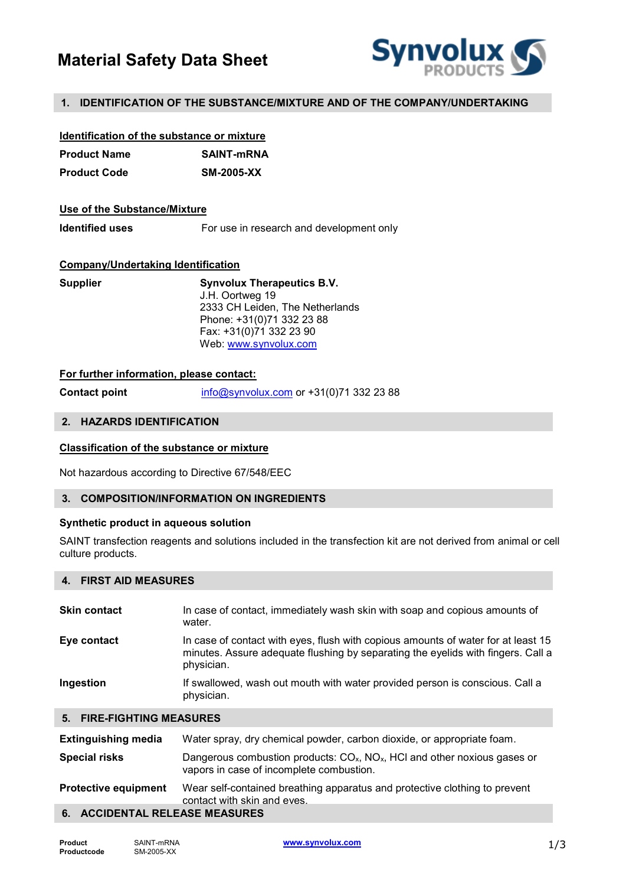# Material Safety Data Sheet



# 1. IDENTIFICATION OF THE SUBSTANCE/MIXTURE AND OF THE COMPANY/UNDERTAKING

| Identification of the substance or mixture |                   |
|--------------------------------------------|-------------------|
| <b>Product Name</b>                        | <b>SAINT-mRNA</b> |
| <b>Product Code</b>                        | <b>SM-2005-XX</b> |

# Use of the Substance/Mixture

Identified uses For use in research and development only

# Company/Undertaking Identification

| <b>Synvolux Therapeutics B.V.</b> |
|-----------------------------------|
| J.H. Oortweg 19                   |
| 2333 CH Leiden, The Netherlands   |
| Phone: +31(0)71 332 23 88         |
| Fax: +31(0)71 332 23 90           |
| Web: www.synvolux.com             |
|                                   |

# For further information, please contact:

**Contact point** info@synvolux.com or  $+31(0)713322388$ 

#### 2. HAZARDS IDENTIFICATION

# Classification of the substance or mixture

Not hazardous according to Directive 67/548/EEC

# 3. COMPOSITION/INFORMATION ON INGREDIENTS

#### Synthetic product in aqueous solution

SAINT transfection reagents and solutions included in the transfection kit are not derived from animal or cell culture products.

# 4. FIRST AID MEASURES

| <b>Skin contact</b>       | In case of contact, immediately wash skin with soap and copious amounts of<br>water.                                                                                                |
|---------------------------|-------------------------------------------------------------------------------------------------------------------------------------------------------------------------------------|
| Eye contact               | In case of contact with eyes, flush with copious amounts of water for at least 15<br>minutes. Assure adequate flushing by separating the eyelids with fingers. Call a<br>physician. |
| Ingestion                 | If swallowed, wash out mouth with water provided person is conscious. Call a<br>physician.                                                                                          |
| 5. FIRE-FIGHTING MEASURES |                                                                                                                                                                                     |

| <b>Extinguishing media</b>     | Water spray, dry chemical powder, carbon dioxide, or appropriate foam.                                                              |
|--------------------------------|-------------------------------------------------------------------------------------------------------------------------------------|
| <b>Special risks</b>           | Dangerous combustion products: $COx$ , NO <sub>x</sub> , HCl and other noxious gases or<br>vapors in case of incomplete combustion. |
| <b>Protective equipment</b>    | Wear self-contained breathing apparatus and protective clothing to prevent<br>contact with skin and eves.                           |
| 6. ACCIDENTAL RELEASE MEASURES |                                                                                                                                     |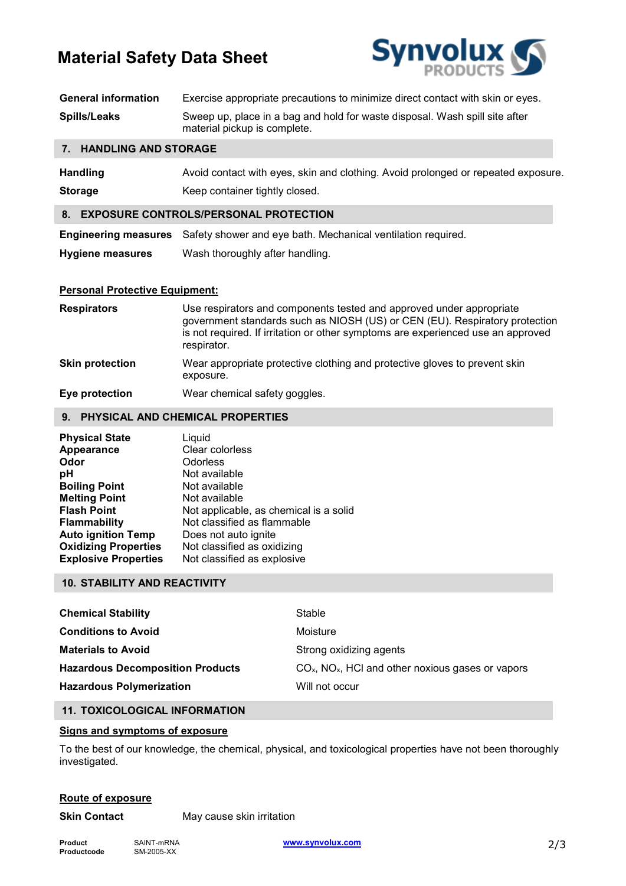# Material Safety Data Sheet



| <b>General information</b> | Exercise appropriate precautions to minimize direct contact with skin or eyes.                              |
|----------------------------|-------------------------------------------------------------------------------------------------------------|
| <b>Spills/Leaks</b>        | Sweep up, place in a bag and hold for waste disposal. Wash spill site after<br>material pickup is complete. |

# 7. HANDLING AND STORAGE

| <b>Handling</b> | Avoid contact with eyes, skin and clothing. Avoid prolonged or repeated exposure. |
|-----------------|-----------------------------------------------------------------------------------|
| <b>Storage</b>  | Keep container tightly closed.                                                    |

# 8. EXPOSURE CONTROLS/PERSONAL PROTECTION

Engineering measures Safety shower and eye bath. Mechanical ventilation required. Hygiene measures Wash thoroughly after handling.

# Personal Protective Equipment:

| <b>Respirators</b>     | Use respirators and components tested and approved under appropriate<br>government standards such as NIOSH (US) or CEN (EU). Respiratory protection<br>is not required. If irritation or other symptoms are experienced use an approved<br>respirator. |
|------------------------|--------------------------------------------------------------------------------------------------------------------------------------------------------------------------------------------------------------------------------------------------------|
| <b>Skin protection</b> | Wear appropriate protective clothing and protective gloves to prevent skin<br>exposure.                                                                                                                                                                |
| Eye protection         | Wear chemical safety goggles.                                                                                                                                                                                                                          |

# 9. PHYSICAL AND CHEMICAL PROPERTIES

| <b>Physical State</b>       | Liquid                                 |
|-----------------------------|----------------------------------------|
| Appearance                  | Clear colorless                        |
| Odor                        | Odorless                               |
| рH                          | Not available                          |
| <b>Boiling Point</b>        | Not available                          |
| <b>Melting Point</b>        | Not available                          |
| <b>Flash Point</b>          | Not applicable, as chemical is a solid |
| <b>Flammability</b>         | Not classified as flammable            |
| <b>Auto ignition Temp</b>   | Does not auto ignite                   |
| <b>Oxidizing Properties</b> | Not classified as oxidizing            |
| <b>Explosive Properties</b> | Not classified as explosive            |

# 10. STABILITY AND REACTIVITY

| <b>Chemical Stability</b>               | Stable                                                          |
|-----------------------------------------|-----------------------------------------------------------------|
| <b>Conditions to Avoid</b>              | Moisture                                                        |
| <b>Materials to Avoid</b>               | Strong oxidizing agents                                         |
| <b>Hazardous Decomposition Products</b> | $COx$ , NO <sub>x</sub> , HCl and other noxious gases or vapors |
| <b>Hazardous Polymerization</b>         | Will not occur                                                  |

# 11. TOXICOLOGICAL INFORMATION

# Signs and symptoms of exposure

To the best of our knowledge, the chemical, physical, and toxicological properties have not been thoroughly investigated.

# Route of exposure

**Skin Contact** May cause skin irritation